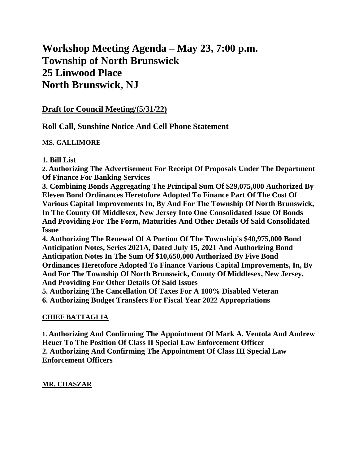# **Workshop Meeting Agenda – May 23, 7:00 p.m. Township of North Brunswick 25 Linwood Place North Brunswick, NJ**

## **Draft for Council Meeting/(5/31/22)**

**Roll Call, Sunshine Notice And Cell Phone Statement**

#### **MS. GALLIMORE**

#### **1. Bill List**

**2. Authorizing The Advertisement For Receipt Of Proposals Under The Department Of Finance For Banking Services**

**3. Combining Bonds Aggregating The Principal Sum Of \$29,075,000 Authorized By Eleven Bond Ordinances Heretofore Adopted To Finance Part Of The Cost Of Various Capital Improvements In, By And For The Township Of North Brunswick, In The County Of Middlesex, New Jersey Into One Consolidated Issue Of Bonds And Providing For The Form, Maturities And Other Details Of Said Consolidated Issue**

**4. Authorizing The Renewal Of A Portion Of The Township's \$40,975,000 Bond Anticipation Notes, Series 2021A, Dated July 15, 2021 And Authorizing Bond Anticipation Notes In The Sum Of \$10,650,000 Authorized By Five Bond Ordinances Heretofore Adopted To Finance Various Capital Improvements, In, By And For The Township Of North Brunswick, County Of Middlesex, New Jersey, And Providing For Other Details Of Said Issues**

**5. Authorizing The Cancellation Of Taxes For A 100% Disabled Veteran 6. Authorizing Budget Transfers For Fiscal Year 2022 Appropriations**

#### **CHIEF BATTAGLIA**

**1. Authorizing And Confirming The Appointment Of Mark A. Ventola And Andrew Heuer To The Position Of Class II Special Law Enforcement Officer 2. Authorizing And Confirming The Appointment Of Class III Special Law Enforcement Officers**

#### **MR. CHASZAR**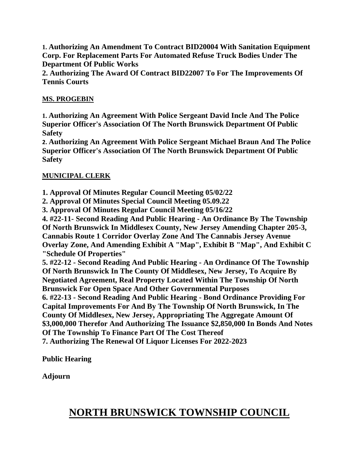**1. Authorizing An Amendment To Contract BID20004 With Sanitation Equipment Corp. For Replacement Parts For Automated Refuse Truck Bodies Under The Department Of Public Works**

**2. Authorizing The Award Of Contract BID22007 To For The Improvements Of Tennis Courts**

### **MS. PROGEBIN**

**1. Authorizing An Agreement With Police Sergeant David Incle And The Police Superior Officer's Association Of The North Brunswick Department Of Public Safety**

**2. Authorizing An Agreement With Police Sergeant Michael Braun And The Police Superior Officer's Association Of The North Brunswick Department Of Public Safety**

#### **MUNICIPAL CLERK**

**1. Approval Of Minutes Regular Council Meeting 05/02/22**

**2. Approval Of Minutes Special Council Meeting 05.09.22**

**3. Approval Of Minutes Regular Council Meeting 05/16/22**

**4. #22-11- Second Reading And Public Hearing - An Ordinance By The Township Of North Brunswick In Middlesex County, New Jersey Amending Chapter 205-3, Cannabis Route 1 Corridor Overlay Zone And The Cannabis Jersey Avenue Overlay Zone, And Amending Exhibit A "Map", Exhibit B "Map", And Exhibit C "Schedule Of Properties"**

**5. #22-12 - Second Reading And Public Hearing - An Ordinance Of The Township Of North Brunswick In The County Of Middlesex, New Jersey, To Acquire By Negotiated Agreement, Real Property Located Within The Township Of North Brunswick For Open Space And Other Governmental Purposes 6. #22-13 - Second Reading And Public Hearing - Bond Ordinance Providing For** 

**Capital Improvements For And By The Township Of North Brunswick, In The County Of Middlesex, New Jersey, Appropriating The Aggregate Amount Of \$3,000,000 Therefor And Authorizing The Issuance \$2,850,000 In Bonds And Notes Of The Township To Finance Part Of The Cost Thereof**

**7. Authorizing The Renewal Of Liquor Licenses For 2022-2023**

**Public Hearing**

**Adjourn**

# **NORTH BRUNSWICK TOWNSHIP COUNCIL**